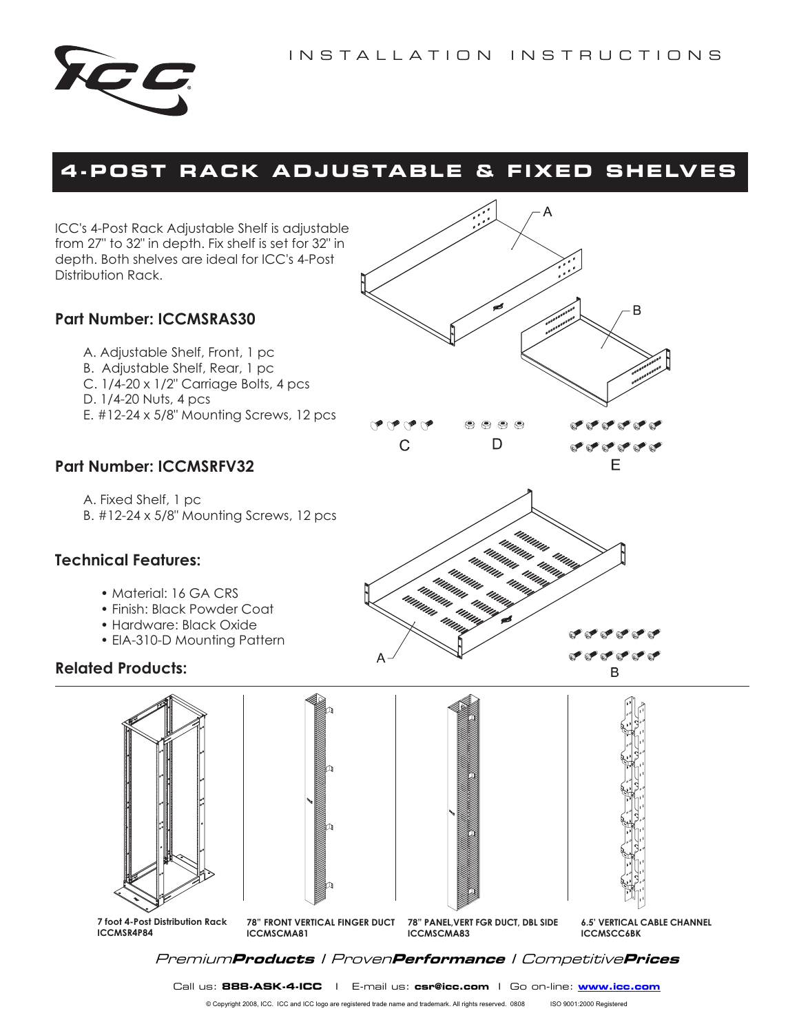D



# **4 -POST RACK ADJUSTABLE & F IXED SHELVES**

 $\alpha \alpha$  $\overline{C}$ 

uman<br><sup>umum</sup>

ICC's 4-Post Rack Adjustable Shelf is adjustable from 27" to 32" in depth. Fix shelf is set for 32" in depth. Both shelves are ideal for ICC's 4-Post Distribution Rack.

## **Part Number: ICCMSRAS30**

A. Adjustable Shelf, Front, 1 pc B. Adjustable Shelf, Rear, 1 pc

- C. 1/4-20 x 1/2" Carriage Bolts, 4 pcs
- D. 1/4-20 Nuts, 4 pcs
- E. #12-24 x 5/8" Mounting Screws, 12 pcs

## **Part Number: ICCMSRFV32**

A. Fixed Shelf, 1 pc B. #12-24 x 5/8" Mounting Screws, 12 pcs

## **Technical Features:**

- Material: 16 GA CRS
- Finish: Black Powder Coat
- Hardware: Black Oxide
- EIA-310-D Mounting Pattern

#### **Related Products:**





**7 foot 4-Post Distribution Rack ICCMSR4P84**

**78" FRONT VERTICAL FINGER DUCT ICCMSCMA81**

**78" PANEL,VERT FGR DUCT, DBL SIDE**



or or or or a a a a a B

B

**or**ororo

**6.5' VERTICAL CABLE CHANNEL ICCMSCC6BK** 

Premium**Products** I Proven**Performance** I Competitive**Prices**

**ICCMSCMA83** 

Call us: **888-ASK-4-ICC** I E-mail us: **csr@icc.com** I Go on-line: **www.icc.com**

© Copyright 2008, ICC. ICC and ICC logo are registered trade name and trademark. All rights reserved. 0808 ISO 9001:2000 Registered